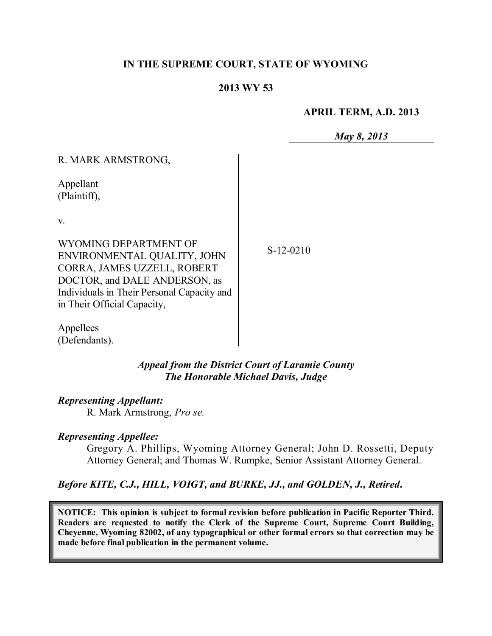## **IN THE SUPREME COURT, STATE OF WYOMING**

### **2013 WY 53**

#### **APRIL TERM, A.D. 2013**

*May 8, 2013*

| R. MARK ARMSTRONG,                         |  |
|--------------------------------------------|--|
| Appellant<br>(Plaintiff),                  |  |
| V.                                         |  |
|                                            |  |
| WYOMING DEPARTMENT OF                      |  |
| ENVIRONMENTAL QUALITY, JOHN                |  |
| CORRA, JAMES UZZELL, ROBERT                |  |
| DOCTOR, and DALE ANDERSON, as              |  |
| Individuals in Their Personal Capacity and |  |
| in Their Official Capacity,                |  |

S-12-0210

Appellees (Defendants).

> *Appeal from the District Court of Laramie County The Honorable Michael Davis, Judge*

#### *Representing Appellant:*

R. Mark Armstrong, *Pro se.*

#### *Representing Appellee:*

Gregory A. Phillips, Wyoming Attorney General; John D. Rossetti, Deputy Attorney General; and Thomas W. Rumpke, Senior Assistant Attorney General.

*Before KITE, C.J., HILL, VOIGT, and BURKE, JJ., and GOLDEN, J., Retired***.**

**NOTICE: This opinion is subject to formal revision before publication in Pacific Reporter Third. Readers are requested to notify the Clerk of the Supreme Court, Supreme Court Building, Cheyenne, Wyoming 82002, of any typographical or other formal errors so that correction may be made before final publication in the permanent volume.**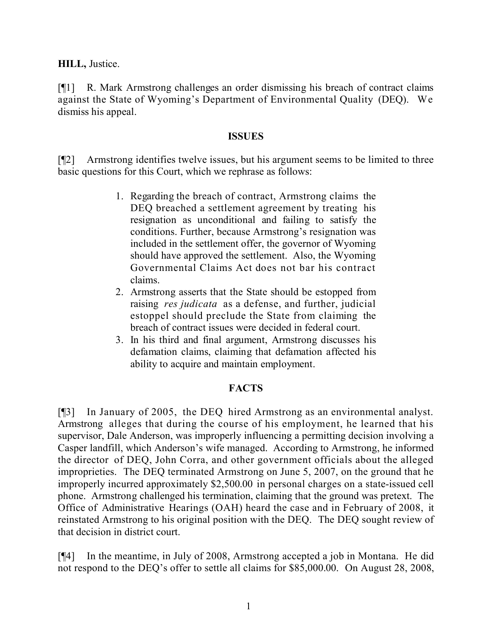**HILL,** Justice.

[¶1] R. Mark Armstrong challenges an order dismissing his breach of contract claims against the State of Wyoming's Department of Environmental Quality (DEQ). We dismiss his appeal.

## **ISSUES**

[¶2] Armstrong identifies twelve issues, but his argument seems to be limited to three basic questions for this Court, which we rephrase as follows:

- 1. Regarding the breach of contract, Armstrong claims the DEQ breached a settlement agreement by treating his resignation as unconditional and failing to satisfy the conditions. Further, because Armstrong's resignation was included in the settlement offer, the governor of Wyoming should have approved the settlement. Also, the Wyoming Governmental Claims Act does not bar his contract claims.
- 2. Armstrong asserts that the State should be estopped from raising *res judicata* as a defense, and further, judicial estoppel should preclude the State from claiming the breach of contract issues were decided in federal court.
- 3. In his third and final argument, Armstrong discusses his defamation claims, claiming that defamation affected his ability to acquire and maintain employment.

## **FACTS**

[¶3] In January of 2005, the DEQ hired Armstrong as an environmental analyst. Armstrong alleges that during the course of his employment, he learned that his supervisor, Dale Anderson, was improperly influencing a permitting decision involving a Casper landfill, which Anderson's wife managed. According to Armstrong, he informed the director of DEQ, John Corra, and other government officials about the alleged improprieties. The DEQ terminated Armstrong on June 5, 2007, on the ground that he improperly incurred approximately \$2,500.00 in personal charges on a state-issued cell phone. Armstrong challenged his termination, claiming that the ground was pretext. The Office of Administrative Hearings (OAH) heard the case and in February of 2008, it reinstated Armstrong to his original position with the DEQ. The DEQ sought review of that decision in district court.

[¶4] In the meantime, in July of 2008, Armstrong accepted a job in Montana. He did not respond to the DEQ's offer to settle all claims for \$85,000.00. On August 28, 2008,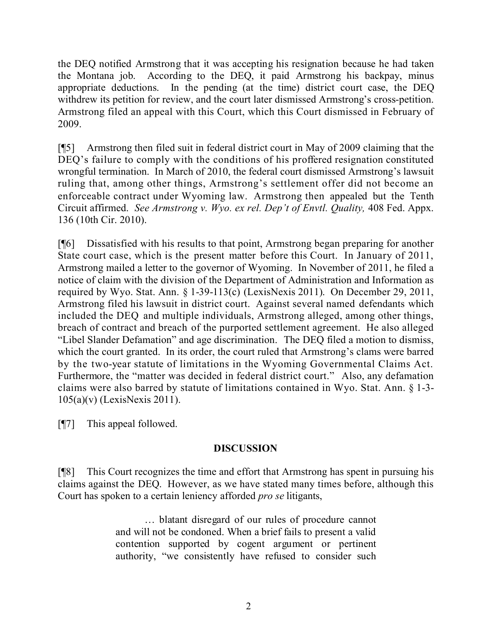the DEQ notified Armstrong that it was accepting his resignation because he had taken the Montana job. According to the DEQ, it paid Armstrong his backpay, minus appropriate deductions. In the pending (at the time) district court case, the DEQ withdrew its petition for review, and the court later dismissed Armstrong's cross-petition. Armstrong filed an appeal with this Court, which this Court dismissed in February of 2009.

[¶5] Armstrong then filed suit in federal district court in May of 2009 claiming that the DEQ's failure to comply with the conditions of his proffered resignation constituted wrongful termination. In March of 2010, the federal court dismissed Armstrong's lawsuit ruling that, among other things, Armstrong's settlement offer did not become an enforceable contract under Wyoming law. Armstrong then appealed but the Tenth Circuit affirmed. *See Armstrong v. Wyo. ex rel. Dep't of Envtl. Quality,* 408 Fed. Appx. 136 (10th Cir. 2010).

[¶6] Dissatisfied with his results to that point, Armstrong began preparing for another State court case, which is the present matter before this Court. In January of 2011, Armstrong mailed a letter to the governor of Wyoming. In November of 2011, he filed a notice of claim with the division of the Department of Administration and Information as required by Wyo. Stat. Ann. § 1-39-113(c) (LexisNexis 2011). On December 29, 2011, Armstrong filed his lawsuit in district court. Against several named defendants which included the DEQ and multiple individuals, Armstrong alleged, among other things, breach of contract and breach of the purported settlement agreement. He also alleged "Libel Slander Defamation" and age discrimination. The DEQ filed a motion to dismiss, which the court granted. In its order, the court ruled that Armstrong's clams were barred by the two-year statute of limitations in the Wyoming Governmental Claims Act. Furthermore, the "matter was decided in federal district court." Also, any defamation claims were also barred by statute of limitations contained in Wyo. Stat. Ann. § 1-3- 105(a)(v) (LexisNexis 2011).

[¶7] This appeal followed.

# **DISCUSSION**

[¶8] This Court recognizes the time and effort that Armstrong has spent in pursuing his claims against the DEQ. However, as we have stated many times before, although this Court has spoken to a certain leniency afforded *pro se* litigants,

> … blatant disregard of our rules of procedure cannot and will not be condoned. When a brief fails to present a valid contention supported by cogent argument or pertinent authority, "we consistently have refused to consider such